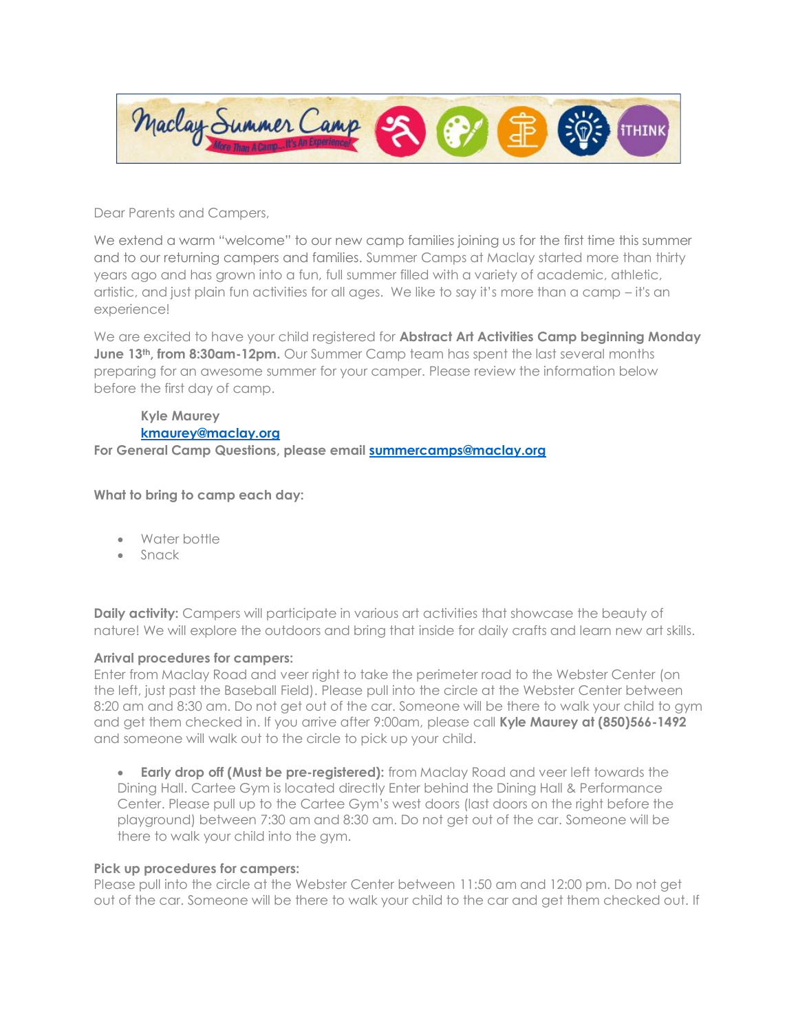

Dear Parents and Campers,

We extend a warm "welcome" to our new camp families joining us for the first time this summer and to our returning campers and families. Summer Camps at Maclay started more than thirty years ago and has grown into a fun, full summer filled with a variety of academic, athletic, artistic, and just plain fun activities for all ages. We like to say it's more than a camp – it's an experience!

We are excited to have your child registered for **Abstract Art Activities Camp beginning Monday June 13<sup>th</sup>, from 8:30am-12pm.** Our Summer Camp team has spent the last several months preparing for an awesome summer for your camper. Please review the information below before the first day of camp.

## **Kyle Maurey [kmaurey@maclay.org](mailto:kmaurey@maclay.org)**

**For General Camp Questions, please email [summercamps@maclay.org](mailto:summercamps@maclay.org)**

**What to bring to camp each day:**

- Water bottle
- Snack

**Daily activity:** Campers will participate in various art activities that showcase the beauty of nature! We will explore the outdoors and bring that inside for daily crafts and learn new art skills.

## **Arrival procedures for campers:**

Enter from Maclay Road and veer right to take the perimeter road to the Webster Center (on the left, just past the Baseball Field). Please pull into the circle at the Webster Center between 8:20 am and 8:30 am. Do not get out of the car. Someone will be there to walk your child to gym and get them checked in. If you arrive after 9:00am, please call **Kyle Maurey at (850)566-1492** and someone will walk out to the circle to pick up your child.

• **Early drop off (Must be pre-registered):** from Maclay Road and veer left towards the Dining Hall. Cartee Gym is located directly Enter behind the Dining Hall & Performance Center. Please pull up to the Cartee Gym's west doors (last doors on the right before the playground) between 7:30 am and 8:30 am. Do not get out of the car. Someone will be there to walk your child into the gym.

## **Pick up procedures for campers:**

Please pull into the circle at the Webster Center between 11:50 am and 12:00 pm. Do not get out of the car. Someone will be there to walk your child to the car and get them checked out. If